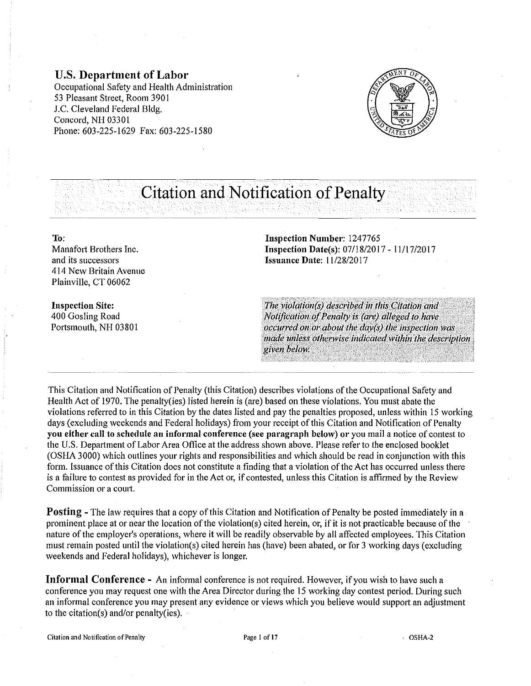**U.S. Department of Labor**  Occupational Safety and Health Administration 53 Pleasant Street, Room 390 l J.C. Cleveland Federal Bldg. Concord, NH 03301 Phone: 603-225-1629 Fax: 603-225-1580



# **Citation and Notification of Penalty**

**To:** 

Manafort Brothers Inc. and its successors 414 New Britain Avenue Plainville, CT 06062

**Inspection Site:**  400 Gosling Road Portsmouth, NH 03801 **Inspection Number:** 1247765 **Inspection Date(s):** 07/l8/2017- ll/l7/2017 **Issuance Date:** 11/28/2017

The violation(s) described in this Citation and *Notification of Penalty is (are) alleged to have Occurred on or about the day(s) the inspection was made unless otherwise indicated within the description*<br>given below. •'i11 ~ti~~16» *.. •···· ·r•* •················ */: :.;;•·••* ''·L··•:•·•··~•·:~.J}J

This Citation and Notification of Penalty (this Citation) describes violations of the Occupational Safety and Health Act of 1970. The penalty(ies) listed herein is (are) based on these violations. You must abate the violations referred to in this Citation by the dates listed and pay the penalties proposed, unless within 15 working days (excluding weekends and Federal holidays) from your receipt of this Citation and Notification of Penalty **you either call to schedule an informal conference** (see **paragraph below) or** you mail a notice of contest to the U.S. Department of Labor Area Office at the address shown above. Please refer to the enclosed booklet (OSHA 3000) which outlines your rights and responsibilities and which should be read in conjunction with this form. Issuance of this Citation does not constitute a finding that a violation of the Act has occurred unless there is a failure to contest as provided for in the Act or, if contested, unless this Citation is affirmed by the Review Commission or a court.

**Posting** – The law requires that a copy of this Citation and Notification of Penalty be posted immediately in a prominent place at or near the location of the violation(s) cited herein, or, if it is not practicable because of the nature of the employer's operations, where it will be readily observable by all affected employees. This Citation must remain posted until the violation(s) cited herein has (have) been abated, or for 3 working days (excluding weekends and Federal holidays), whichever is longer.

**Informal Conference** - An informal conference is not required. However, if you wish to have such a conference you may request one with the Area Director during the 15 working day contest period. During such an informal conference you may present any evidence or views which you believe would support an adjustment to the citation(s) and/or penalty(ies).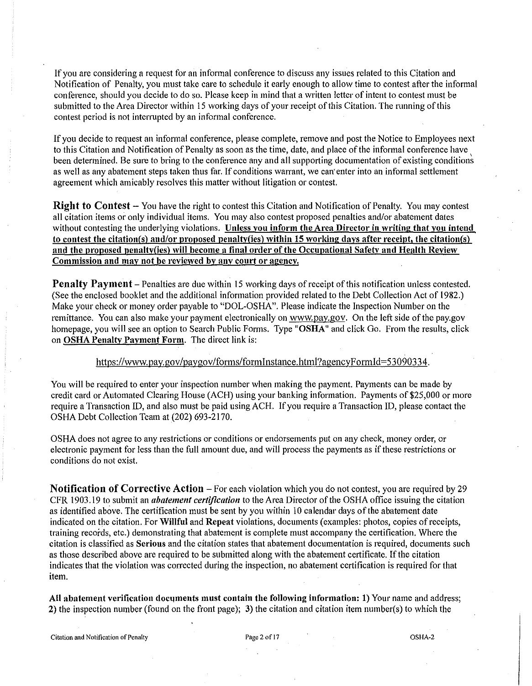If you are considering a request for an informal conference to discuss any issues related to this Citation and Notification of Penalty, you must take care to schedule it early enough to allow time to contest after the informal conference, should you decide to do so. Please keep in mind that a written letter of intent to contest must be submitted to the Area Director within 15 working days of your receipt of this Citation. The running of this contest period is not interrupted by an informal conference.

If you decide to request an informal conference, please complete, remove and post the Notice to Employees next to this Citation and Notification of Penalty as soon as the time, date, and place of the informal conference have been determined. Be sure to bring to the conference any and all supporting documentation of existing conditions as well as any abatement steps taken thus far. If conditions warrant, we can' enter into an informal settlement agreement which amicably resolves this matter without litigation or contest.

Right to Contest – You have the right to contest this Citation and Notification of Penalty. You may contest all citation items or only individual items. You may also contest proposed penalties and/or abatement dates without contesting the underlying violations. Unless you inform the Area Director in writing that you intend to contest the citation(s) and/or proposed penalty(ies) within 15 working days after receipt, the citation(s) and the proposed penalty(ies) will become a final order of the Occupational Safety and Health Review Commission and may not be reviewed by any court or agency.

**Penalty Payment** – Penalties are due within 15 working days of receipt of this notification unless contested. (See the enclosed booklet and the additional information provided related to the Debt Collection Act of 1982.) Make your check or money order payable to "DOL-OSHA". Please indicate the Inspection Number on the remittance. You can also make your payment electronically on www.pay.gov. On the left side of the pay.gov homepage, you will see an option to Search Public Forms. Type "OSHA" and click Go. From the results, click on OSHA Penalty Payment Form. The direct link is:

#### https://www.pay.gov/paygov/forms/formlnstance.html?agencyFormld=53090334.

You will be required to enter your inspection number when making the payment. Payments can be made by credit card or Automated Clearing House (ACH) using your banking information. Payments of \$25,000 or more require a Transaction ID, and also must be paid usingACH. If you require a Transaction ID, please contact the OSHA Debt Collection Team at (202) 693-2170.

OSHA does not agree to any restrictions or conditions or endorsements put on any check, money order, or electronic payment for less than the full amount due, and will process the payments as if these restrictions or conditions do not exist.

Notification of Corrective Action – For each violation which you do not contest, you are required by 29 CFR 1903.19 to submit an *abatement certification* to the Area Director of the OSHA office issuing the citation as identified above. The certification must be sent by you within I 0 calendar days of the abatement date indicated on the citation. For Willful and Repeat violations, documents (examples: photos, copies of receipts, training records, etc.) demonstrating that abatement is complete must accompany the certification. Where the citation is classified as Serious and the citation states that abatement documentation is required, documents such as those described above are required to be submitted along with the abatement cettificate. If the citation indicates that the violation was corrected during the inspection, no abatement certification is required for that item.

All abatement verification documents must contain the following information: 1) Your name and address; 2) the inspection number (found on the front page); 3) the citation and citation item number(s) to which the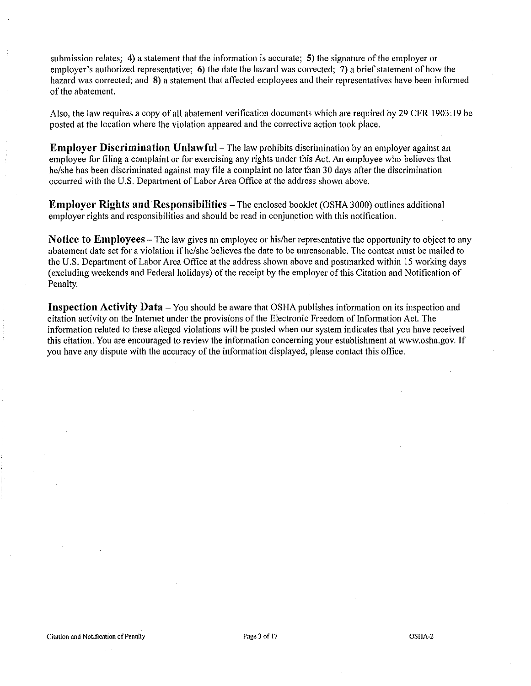submission relates; 4) a statement that the information is accurate; 5) the signature of the employer or employer's authorized representative; 6) the date the hazard was corrected; 7) a brief statement of how the hazard was corrected; and 8) a statement that affected employees and their representatives have been informed of the abatement.

Also, the law requires a copy of all abatement verification documents which are required by 29 CFR 1903 .19 be posted at the location where the violation appeared and the corrective action took place.

**Employer Discrimination Unlawful** – The law prohibits discrimination by an employer against an employee for filing a complaint or for exercising any rights under this Act. An employee who believes that he/she has been discriminated against may file a complaint no later than 30 days after the discrimination occurred with the U.S. Department of Labor Area Office at the address shown above.

**Employer Rights and Responsibilities** – The enclosed booklet (OSHA 3000) outlines additional employer rights and responsibilities and should be read in conjunction with this notification.

**Notice to Employees** – The law gives an employee or his/her representative the opportunity to object to any abatement date set for a violation if he/she believes the date to be unreasonable. The contest must be mailed to the U.S. Department of Labor Area Office at the address shown above and postmarked within 15 working days (excluding weekends and Federal holidays) of the receipt by the employer of this Citation and Notification of Penalty.

**Inspection Activity Data** – You should be aware that OSHA publishes information on its inspection and citation activity on the Internet under the provisions of the Electronic Freedom of Information Act. The information related to these alleged violations will be posted when our system indicates that you have received this citation. You are encouraged to review the information concerning your establishment at www.osha.gov. If you have any dispute with the accuracy of the information displayed, please contact this office.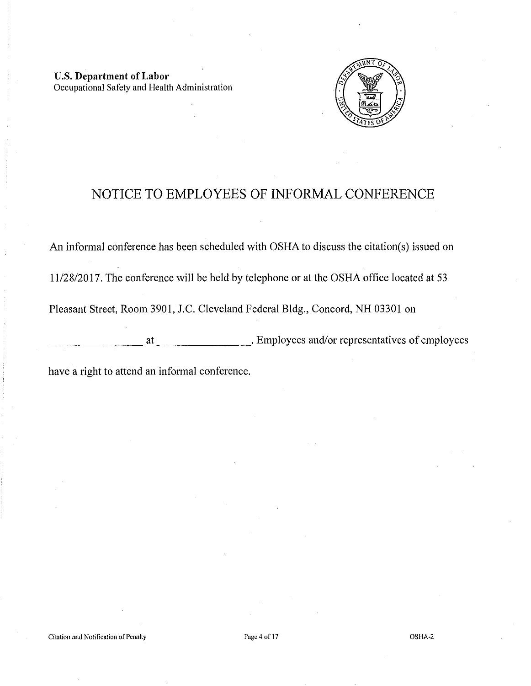U.S. **Department of Labor**  Occupational Safety and Health Administration



# NOTICE TO EMPLOYEES OF INFORMAL CONFERENCE

An informal conference has been scheduled with OSHA to discuss the citation(s) issued on

11/28/2017. The conference will be held by telephone or at the OSHA office located at 53

Pleasant Street, Room 3901, J.C. Cleveland Federal Bldg., Concord, NH 03301 on

at Employees and/or representatives of employees

have a right to attend an informal conference.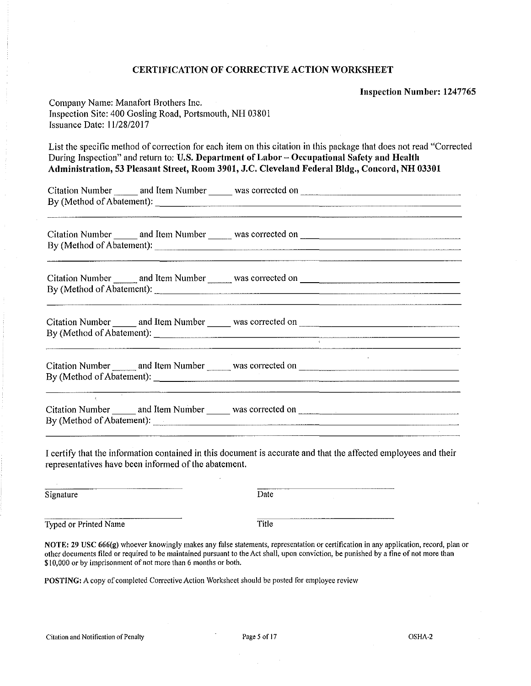#### CERTIFICATION OF CORRECTIVE ACTION WORKSHEET

Inspection Number: 1247765

| Company Name: Manafort Brothers Inc.                    |
|---------------------------------------------------------|
| Inspection Site: 400 Gosling Road, Portsmouth, NH 03801 |
| Issuance Date: $11/28/2017$                             |

List the specific method of correction for each item on this citation in this package that does not read "Corrected During Inspection" and return to: U.S. Department of Labor - Occupational Safety and Health Administration, 53 Pleasant Street, Room 3901, J.C. Cleveland Federal Bldg., Concord, NH 03301

| <b>Citation Number</b>    | and Item Number | was corrected on |  |
|---------------------------|-----------------|------------------|--|
| By (Method of Abatement): |                 |                  |  |
|                           |                 |                  |  |

Citation Number and Item Number was corrected on  $\blacksquare$ By (Method of Abatement):---------------------------

| <b>Citation Number</b>    | and Item Number | was corrected on |  |
|---------------------------|-----------------|------------------|--|
| By (Method of Abatement): |                 |                  |  |
|                           |                 |                  |  |

| <b>Citation Number</b>    | and Item Number | was corrected on |  |
|---------------------------|-----------------|------------------|--|
| By (Method of Abatement): |                 |                  |  |
|                           |                 |                  |  |

| <b>Citation Number</b>    | and Item Number | was corrected<br>on                  |  |
|---------------------------|-----------------|--------------------------------------|--|
| By (Method of Abatement): |                 | ____________________________________ |  |
|                           |                 |                                      |  |

| By (Method of Abatement): |  |
|---------------------------|--|

I certify that the information contained in this document is accurate and that the affected employees and their representatives have been informed of the abatement.

Signature Date

Typed or Printed Name Title

 $\chi^2$ 

NOTE: 29 USC 666(g) whoever knowingly makes any false statements, representation or certification in any application, record, plan or other documents filed or required to be maintained pursuant to the Act shall, upon conviction, be punished by a fine of not more than \$10,000 or by imprisonment of not more than 6 months or both.

POSTING: A copy of completed Corrective Action Worksheet should be posted for employee review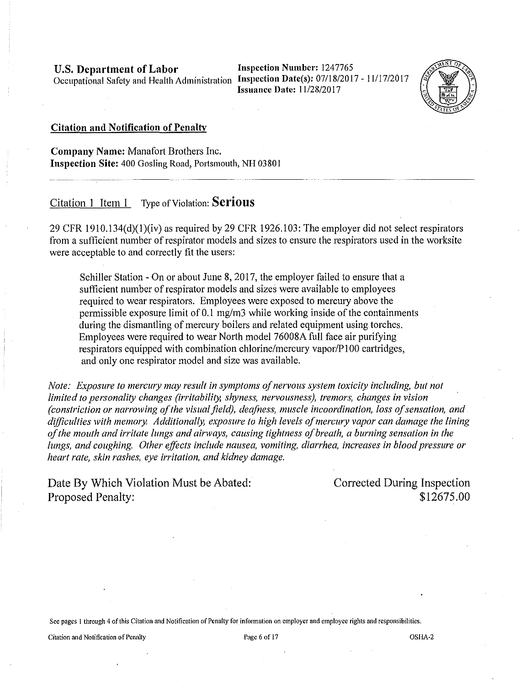**Inspection Number:** 1247765 **Issuance Date: 11/28/2017** 



# **Citation and Notification of Penalty**

**Company Name:** Manafort Brothers Inc. **Inspection Site:** 400 Gosling Road, Portsmouth, NH 03801

# Citation **1** Item 1 Type of Violation: **Serious**

29 CFR 1910.134 $(d)(1)(iv)$  as required by 29 CFR 1926.103: The employer did not select respirators from a sufficient number of respirator models and sizes to ensure the respirators used in the worksite were acceptable to and correctly fit the users:

Schiller Station - On or about June 8, 2017, the employer failed to ensure that a sufficient number of respirator models and sizes were available to employees required to wear respirators. Employees were exposed to mercury above the permissible exposure limit of 0.1 mg/m3 while working inside of the containments during the dismantling of mercury boilers and related equipment using torches. Employees were required to wear North model 76008A full face air purifying respirators equipped with combination chlorine/mercury vapor/P100 cartridges, and only one respirator model and size was available.

*Note: Exposure to mercwy may result in symptoms of nervous system toxicity including, but not limited to personality changes (irritability, shyness, nervousness), tremors, changes in vision (constriction or narrowing of the visual field), deafness, muscle incoordination, loss of sensation, and difficulties with memory Additionally, exposure to high levels of mercwy vapor can damage the lining of the mouth and irritate lungs and airways, causing tightness of breath, a burning sensation in the lungs, and coughing. Other effects include nausea, vomiting, diarrhea, increases in blood pressure or heart rate, skin rashes, eye irritation, and kidney damage.* 

Date By Which Violation Must be Abated: Proposed Penalty:

Corrected During Inspection \$12675.00

**See pages I through 4 of this Citation and Notification of Penalty for infonnation on employer and employee rights and responsibilities.**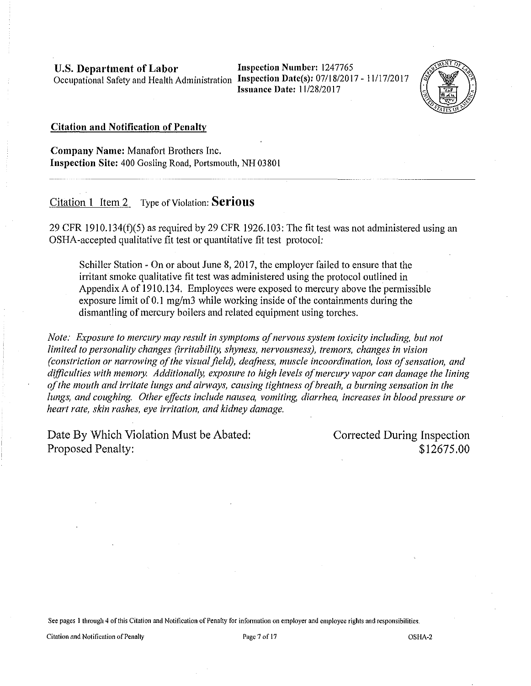Inspection Number: 1247765 Issuance Date: 11/28/2017



#### Citation and Notification of Penalty

Company Name: Manafort Brothers Inc. Inspection Site: 400 Gosling Road, Portsmouth, NH 03801

## Citation 1 Item 2 Type of Violation: **Serious**

29 CFR 1910.134(f)(5) as required by 29 CFR 1926.103: The fit test was not administered using an OSHA-accepted qualitative fit test or quantitative fit test protocol:

Schiller Station - On or about June 8, 2017, the employer failed to ensure that the irritant smoke qualitative fit test was administered using the protocol outlined in Appendix A of 1910.134. Employees were exposed to mercury above the permissible exposure limit of  $0.1 \text{ mg/m}$ 3 while working inside of the containments during the dismantling of mercury boilers and related equipment using torches.

*Note: Exposure to mercury may result in symptoms of nervous system toxicity including, but not limited to personality changes (irritability, shyness, nervousness), tremors, changes in vision (constriction or narrowing of the visual field), deafness, muscle incoordination, loss of sensation, and difficulties with mem01y. Additionally, exposure to high levels of mercury vapor can damage the lining of the mouth and irritate lungs and airways, causing tightness of breath, a burning sensation in the lungs, and coughing. Other effects include nausea, vomiting, diarrhea, increases in blood pressure or heart rate, skin rashes, eye irritation, and kidney damage.* 

Date By Which Violation Must be Abated: Proposed Penalty:

Corrected During Inspection \$12675.00

See pages 1 through 4 of this Citation and Notification of Penalty for information on employer and employee rights and responsibilities.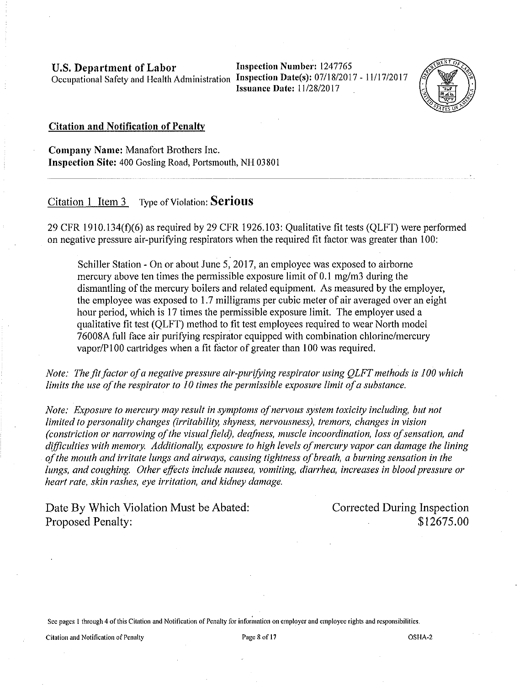Inspection Number: 1247765 **Issuance Date: 11/28/2017** 



#### Citation and Notification of Penalty

Company Name: Manafort Brothers Inc. Inspection Site: 400 Gosling Road, Portsmouth, NH 03801

# Citation 1 Item 3 Type of Violation: **Serious**

29 CFR 1910.134(±)(6) as required by 29 CFR 1926.103: Qualitative fit tests (QLFT) were performed on negative pressure air-purifying respirators when the required fit factor was greater than 100:

Schiller Station - On or about June 5, 2017, an employee was exposed to airborne mercury above ten times the permissible exposure limit of 0.1 mg/m3 during the dismantling of the mercury boilers and related equipment. As measured by the employer, the employee was exposed to 1.7 milligrams per cubic meter of air averaged over an eight hour period, which is 17 times the permissible exposure limit. The employer used a qualitative fit test (QLFT) method to fit test employees required to wear North model 7 6008A full face air purifying respirator equipped with combination chlorine/mercury vapor/P100 cartridges when a fit factor of greater than 100 was required.

*Note: The fit factor of a negative pressure air-purifoing respirator using QLFT methods is 100 which limits the use of the respirator to 10 times the permissible exposure limit of a substance.* 

*Note: Exposure to mercwy may result in symptoms of nervous system toxicity including, but not limited to personality changes (irritability, shyness, nervousness), tremors, changes in vision (constriction or narrowing of the visual field), deafness, muscle incoordination, loss of sensation, and difficulties with mem01y. Additionally, exposure to high levels ofmercwy vapor can damage the lining of the mouth and irritate lungs and airways, causing tightness of breath, a burning sensation in the lungs, and coughing. Other effects include nausea, vomiting, diarrhea, increases in blood pressure or heart rate, skin rashes, eye irritation, and kidney damage.* 

Date By Which Violation Must be Abated: Proposed Penalty:

Corrected During Inspection \$12675.00

See pages 1 through 4 of this Citation and Notification of Penalty for information on employer and employee rights and responsibilities.

Citation and Notification of Penalty **Page 8** of 17 **Page 8** of 17 **OSHA-2** OSHA-2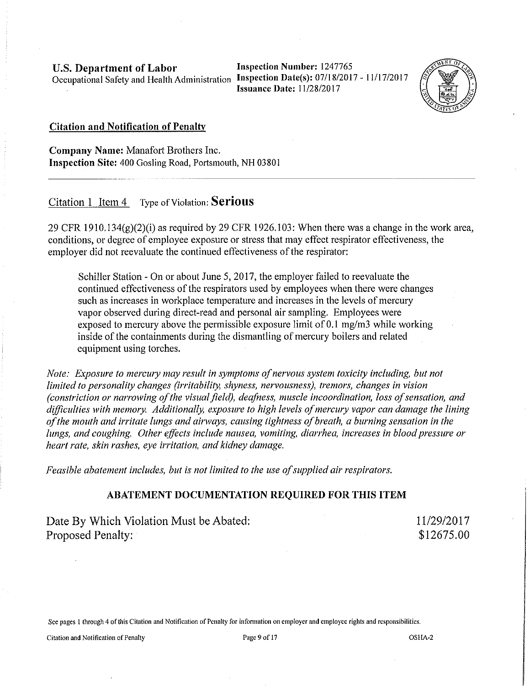Inspection Number: 1247765 Issuauce Date: 11/28/2017



#### Citation and Notification of Penalty

Company Name: Manafort Brothers Inc. Inspection Site: 400 Gosling Road, Portsmouth, NH 03801

Citation 1 Item 4 Type of Violation: **Serious** 

 $29$  CFR 1910.134(g)(2)(i) as required by 29 CFR 1926.103: When there was a change in the work area, conditions, or degree of employee exposure or stress that may effect respirator effectiveness, the employer did not reevaluate the continued effectiveness of the respirator:

Schiller Station - On or about June 5, 2017, the employer failed to reevaluate the continued effectiveness of the respirators used by employees when there were changes such as increases in workplace temperature and increases in the levels of mercury vapor observed during direct-read and personal air sampling. Employees were exposed to mercury above the permissible exposure limit of 0.1 mg/m3 while working inside of the containments during the dismantling of mercury boilers and related equipment using torches.

*Note: Exposure to mercury may result in symptoms of nervous system toxicity including, but not limited to personality changes (irritability, shyness, nervousness), tremors, changes in vision (constriction or narrowing of the visual field), deafness, muscle incoordination, loss of sensation, and*  difficulties with memory. Additionally, exposure to high levels of mercury vapor can damage the lining *of the mouth and irritate lungs and airways, causing tightness of breath, a burning sensation in the lungs, and coughing. Other effects include nausea, vomiting, diarrhea, increases in blood pressure or heart rate, skin rashes, eye irritation, and kidney damage.* 

*Feasible abatement includes, but is not limited to the use of supplied air respirators.* 

# ABATEMENT DOCUMENTATION REQUIRED FOR THIS ITEM

Date By Which Violation Must be Abated: Proposed Penalty:

11/29/2017 \$12675.00

See pages l through 4 of this Citation and Notification of Penalty for infonnation on employer and employee rights and responsibilities.

Citation and Notification of Penalty **Page 9** of 17 **Page 9** of 17 **OSHA-2** OSHA-2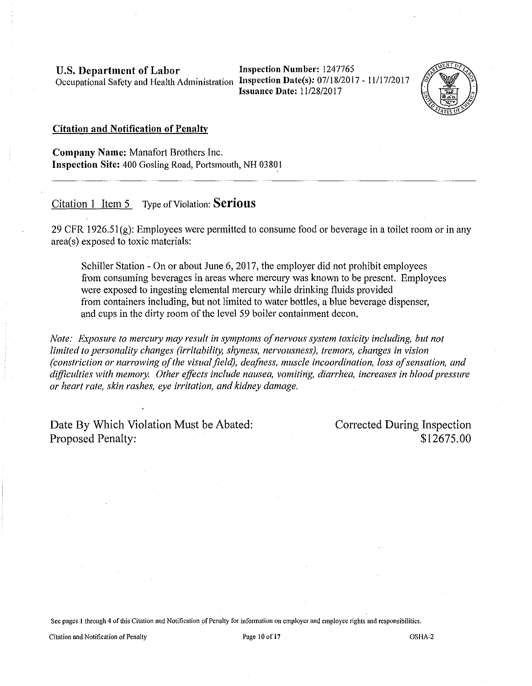Inspection Number: 1247765 Issuance Date: 11/28/2017



#### Citation and Notification of Penalty

Company Name: Manafort Brothers Inc. Inspection Site: 400 Gosling Road, Portsmouth, NH 03801

# Citation 1 <u>Item 5</u> Type of Violation: **Serious**

29 CFR 1926.51 $(g)$ : Employees were permitted to consume food or beverage in a toilet room or in any area(s) exposed to toxic materials:

Schiller Station - On or about June 6, 2017, the employer did not prohibit employees from consuming beverages in areas where mercury was known to be present. Employees were exposed to ingesting elemental mercury while drinking fluids provided from containers including, but not limited to water bottles, a blue beverage dispenser, and cups in the dirty room of the level 59 boiler containment decon.

*Note: Exposure to mercwy may result in symptoms of nervous system toxicity including, but not limited to personality changes (irritability, shyness, nervousness), tremors, changes in vision (constriction or narrowing of the visual field), deafness, muscle incoordination, loss of sensation, and difficulties with memory. Other effects include nausea, vomiting, diarrhea, increases in blood pressure or heart rate, skin rashes, eye irritation, and kidney damage.* 

Date By Which Violation Must be Abated: Proposed Penalty:

Corrected During Inspection \$12675.00

See pages 1 through 4 of this Citation and Notification of Penalty for information on employer and employee rights and responsibilities.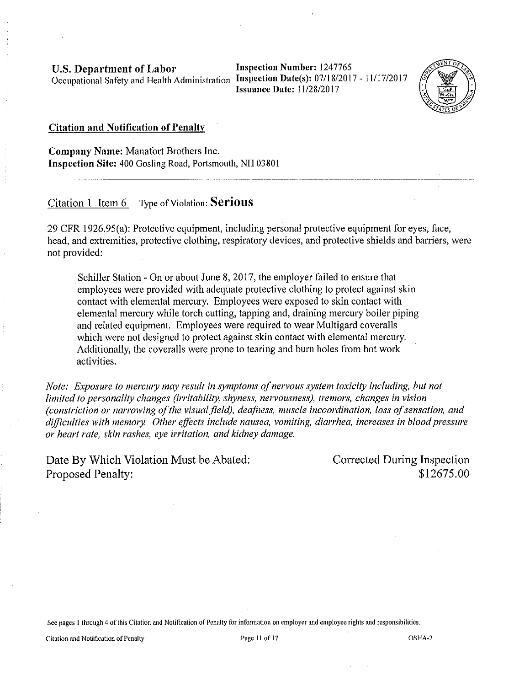Inspection Number: 1247765 Issuance Date: 11/28/2017



#### Citation and Notification of Penalty

Company Name: Manafort Brothers Inc. Inspection Site: 400 Gosling Road, Portsmouth, NH 03801

# Citation 1 Item 6 Type of Violation: **Serious**

29 CFR 1926.95(a): Protective equipment, including personal protective equipment for eyes, face, head, and extremities, protective clothing, respiratory devices, and protective shields and barriers, were not provided:

Schiller Station - On or about June 8, 2017, the employer failed to ensure that employees were provided with adequate protective clothing to protect against skin contact with elemental mercury. Employees were exposed to skin contact with elemental mercury while torch cutting, tapping and, draining mercury boiler piping and related equipment. Employees were required to wear Multigard coveralls which were not designed to protect against skin contact with elemental mercury. Additionally, the coveralls were prone to tearing and bum holes from hot work activities.

*Note: Exposure to mercury may result in symptoms of nervous system toxicity including, but not limited to personality changes (irritability, shyness, nervousness), tremors, changes in vision (constriction or narrowing of the visual field), deafness, muscle incoordination, loss of sensation, and difficulties with mem01y Other effects include nausea, vomiting, diarrhea, increases in blood pressure or heart rate, skin rashes, eye irritation, and kidney damage.* 

Date By Which Violation Must be Abated: Proposed Penalty:

Corrected During Inspection \$12675.00

See pages 1 through 4 of this Citation and Notification of Penalty for information on employer and employee rights and responsibilities.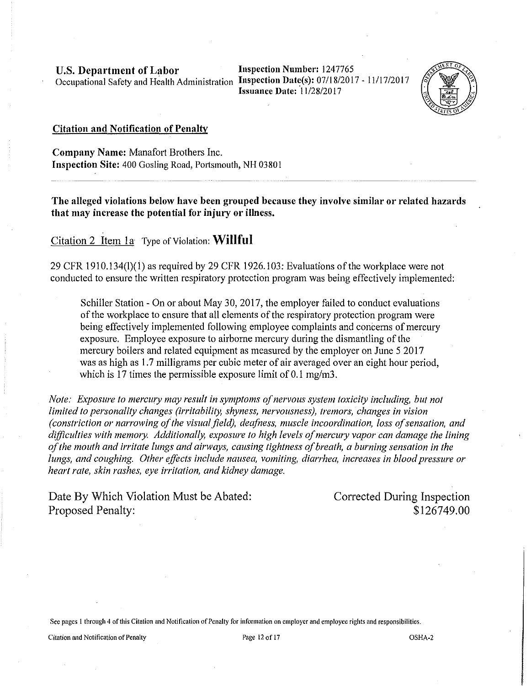**Inspection Number:** 1247765 **Issuance Date: 11/28/2017** 



#### **Citation and Notification of Penalty**

**Company Name:** Manafort Brothers Inc. **Inspection Site:** 400 Gosling Road, Portsmouth, NH 03801

**The alleged violations below have been grouped because they involve similar or related hazards that may increase the potential for injury or illness.** 

Citation 2 Item 1a Type of Violation: **Willful** 

29 CFR 1910.134(1)(1) as required by 29 CFR 1926.103: Evaluations of the workplace were not conducted to ensure the written respiratory protection program was being effectively implemented:

Schiller Station - On or about May 30, 2017, the employer failed to conduct evaluations of the workplace to ensure that all elements of the respiratory protection program were being effectively implemented following employee complaints and concerns of mercury exposure. Employee exposure to airborne mercury during the dismantling of the mercury boilers and related equipment as measured by the employer on June 5 2017 was as high as 1.7 milligrams per cubic meter of air averaged over an eight hour period, which is 17 times the permissible exposure limit of 0.1 mg/m3.

*Note: Exposure to mercwy may result in symptoms of nervous system toxicity including, but not limited to personality changes (irritability, shyness, nervousness), tremors, changes in vision (constriction or narrowing of the visual field), deafness, muscle incoordination, loss of sensation, and*  difficulties with memory. Additionally, exposure to high levels of mercury vapor can damage the lining *of the mouth and irritate lungs and airways, causing tightness of breath, a burning sensation in the lungs, and coughing. Other effects include nausea, vomiting, diarrhea, increases in blood pressure or heart rate, skin rashes, eye irritation, and kidney damage.* 

Date By Which Violation Must be Abated: Proposed Penalty:

Corrected During Inspection \$126749.00

**Sec pages l through 4 of this Citation and Notification of Penalty for information on employer and employee rights and responsibilities.**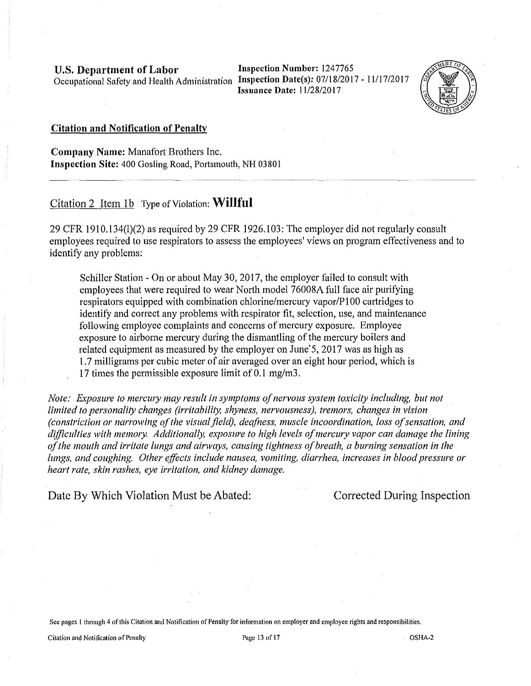Inspection Number: 1247765 Issuance Date: 11/28/2017



#### Citation and Notification of Penalty

Company Name: Manafort Brothers Inc. Inspection Site: 400 Gosling Road, Portsmouth, NH 03801

Citation 2 Item  $1b$  Type of Violation: Willful

29 CFR 1910.134(1)(2) as required by 29 CFR 1926.103: The employer did not regularly consult employees required to use respirators to assess the employees' views on program effectiveness and to identify any problems:

Schiller Station - On or about May 30, 2017, the employer failed to consult with employees that were required to wear North model 76008A full face air purifying respirators equipped with combination chlorine/mercury vapor/PlOO cartridges to identify and correct any problems with respirator fit, selection, use, and maintenance following employee complaints and concerns of mercury exposure. Employee exposure to airborne mercury during the dismantling of the mercury boilers and related equipment as measured by the employer on June'5, 2017 was as high as I. 7 milligrams per cubic meter of air averaged over an eight hour period, which is 17 times the permissible exposure limit of 0.1 mg/m3.

*Note: Exposure to mercwy may result in symptoms of nervous system toxicity including, but not limited to personality changes (irritability, shyness, nervousness), tremors, changes in vision (constriction or narrowing of the visual field), deafness, muscle incoordination, loss of sensation, and difficulties with memory. Additionally, exposure to high levels of mercwy vapor can damage the lining of the mouth and irritate lungs and airways, causing tightness of breath, a burning sensation in the lungs, and coughing. Other effects include nausea, vomiting, diarrhea, increases in blood pressure or heart rate, skin rashes, eye irritation, and kidney damage.* 

Date By Which Violation Must be Abated: Corrected During Inspection

See pages l through 4 of this Citation and Notification of Penally for infonnation on employer and employee rights and responsibilities.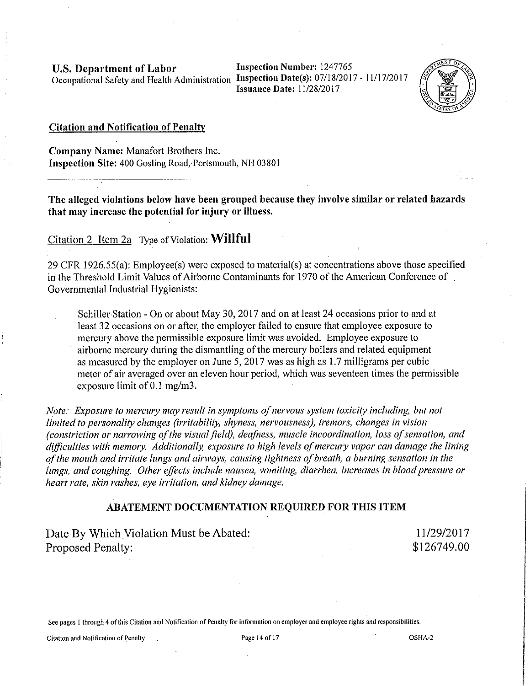Inspection Number: 1247765 Issuance Date: 11/28/2017



# Citation and Notification of Penalty

Company Name: Manafort Brothers Inc. **Inspection Site: 400 Gosling Road, Portsmouth, NH 03801** 

The alleged violations below have been grouped because they involve similar or related hazards that may increase the potential for injury or illness.

# Citation 2 Item 2a Type of Violation: **Willful**

29 CPR 1926.55(a): Employee(s) were exposed to material(s) at concentrations above those specified in the Threshold Limit Values of Airborne Contaminants for 1970 of the American Conference of Governmental Industrial Hygienists:

Schiller Station - On or about May 30, 2017 and on at least 24 occasions prior to and at least 32 occasions on or after, the employer failed to ensure that employee exposure to mercury above the permissible exposure limit was avoided. Employee exposure to airborne mercury during the dismantling of the mercury boilers and related equipment as measured by the employer on June 5, 2017 was as high as 1.7 milligrams per cubic meter of air averaged over an eleven hour period, which was seventeen times the permissible exposure limit of  $0.1$  mg/m3.

*Note: Exposure to mercwy may result in symptoms of nervous system toxicity including, but not limited to personality changes (irritability, shyness, nervousness), tremors, changes in vision (constriction or narrowing of the visual field), deafness, muscle incoordination, loss of sensation, and*  difficulties with memory. Additionally, exposure to high levels of mercury vapor can damage the lining *of the mouth and irritate lungs and airways, causing tightness of breath, a burning sensation in the lungs, and coughing. Other effects include nausea, vomiting, diarrhea, increases in blood pressure or heart rate, skin rashes, eye irritation, and kidney damage.* 

# ABATEMENT DOCUMENTATION REQUIRED FOR THIS ITEM

Date By Which Violation Must be Abated: Proposed Penalty:

11/29/2017 \$126749.00

See pages I through 4 of this Citation and Notification of Penalty for infonnation on employer and employee rights and responsibilities.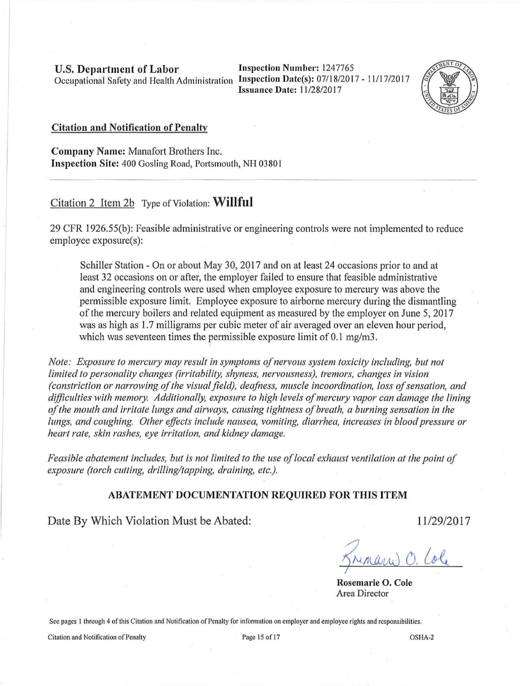U.S. Department of Labor Inspection Number: 1247765 Occupational Safety and Health Administration Inspection Date(s): 07/18/2017 - 11/17/2017

Issuance Date: 11/28/20 17



#### Citation and Notification of Penalty

Company Name: Manafort Brothers Inc. Inspection Site: 400 Gosling Road, Portsmouth, NH 03801

# Citation 2 Item 2b Type of Violation: **Willful**

29 CFR 1926.55(b): Feasible administrative or engineering controls were not implemented to reduce employee exposure(s):

Schiller Station - On or about May 30, 2017 and on at least 24 occasions prior to and at least 32 occasions on or after, the employer failed to ensure that feasible administrative and engineering controls were used when employee exposure to mercury was above the permissible exposure limit. Employee exposure to airborne mercury during the dismantling of the mercury boilers and related equipment as measured by the employer on June 5, 2017 was as high as 1.7 milligrams per cubic meter of air averaged over an eleven hour period, which was seventeen times the permissible exposure limit of 0.1 mg/m3.

*Note: Exposure to mercwy may result in symptoms of nervous system toxicity including, but not limited to personality changes (irritability, shyness, nervousness), tremors, changes in vision (constriction or narrowing of the visual field), deafness, muscle incoordination, loss of sensation, and difficulties with mem01y. Additionally, exposure to high levels of mercwy vapor can damage the lining of the mouth and irritate lungs and airways, causing tightness of breath, a burning sensation in the lungs, and coughing. Other effects include nausea, vomiting, diarrhea, increases in blood pressure or heart rate, skin rashes, eye irritation, and kidney damage.* 

*Feasible abatement includes, but is not limited to the use of local exhaust ventilation at the point of exposure (torch cutting, drilling/tapping, draining, etc.).* 

#### ABATEMENT DOCUMENTATION REQUIRED FOR THIS ITEM

Date By Which Violation Must be Abated:

11/29/2017

Rosemarie 0. Cole Area Director

See pages 1 through 4 of this Citation and Notification of Penalty for information on employer and employee rights and responsibilities.

Citation and Notification of Penalty **Page 15** OSHA-2 Page 15 of 17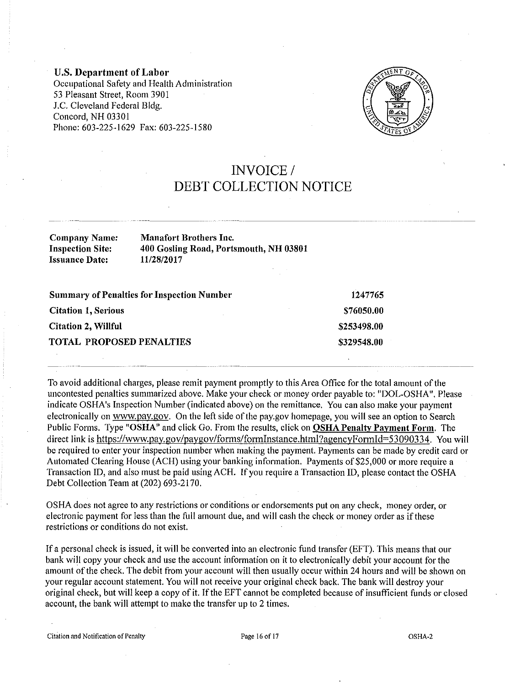U.S. Department of Labor Occupational Safety and Health Administration 53 Pleasant Street, Room 3901 J.C. Cleveland Federal Bldg. Concord, NH 03301 Phone: 603-225-1629 Fax: 603-225-1580



# INVOICE/ DEBT COLLECTION NOTICE

| <b>Company Name:</b>    | <b>Manafort Brothers Inc.</b>          |
|-------------------------|----------------------------------------|
| <b>Inspection Site:</b> | 400 Gosling Road, Portsmouth, NH 03801 |
| Issuance Date:          | 11/28/2017                             |

| <b>Summary of Penalties for Inspection Number</b> | 1247765     |
|---------------------------------------------------|-------------|
| <b>Citation 1, Serious</b>                        | \$76050.00  |
| <b>Citation 2, Willful</b>                        | \$253498.00 |
| TOTAL PROPOSED PENALTIES                          | \$329548.00 |

To avoid additional charges, please remit payment promptly to this Area Office for the total amount of the uncontested penalties summarized above. Make your check or money order payable to: "DOL-OSHA". Please indicate OSHA's Inspection Number (indicated above) on the remittance. You can also make your payment electronically on www.pay.gov. On the left side of the pay.gov homepage, you will see an option to Search Public Forms. Type "OSHA" and click Go. From the results, click on OSHA Penalty Payment Form. The direct link is https://www.pay.gov/paygov/forms/formInstance.html?agencyFormId=53090334. You will be required to enter your inspection number when making the payment. Payments can be made by credit card or Automated Clearing House (ACH) using your banking information. Payments of \$25,000 or more require a Transaction ID, and also must be paid using ACH. If you require a Transaction ID, please contact the OSHA Debt Collection Team at (202) 693-2170.

OSHA does not agree to any restrictions or conditions or endorsements put on any check, money order, or electronic payment for less than the full amount due, and will cash the check or money order as if these restrictions or conditions do not exist.

If a personal check is issued, it will be convetted into an electronic fund transfer (EFT). This means that our bank will copy your check and use the account information on it to electronically debit your account for the amount of the check. The debit from your account will then usually occur within 24 hours and will be shown on your regular account statement. You will not receive your original check back. The bank will destroy your original check, but will keep a copy of it. If the EFT cannot be completed because of insufficient funds or closed account, the bank will attempt to make the transfer up to 2 times.